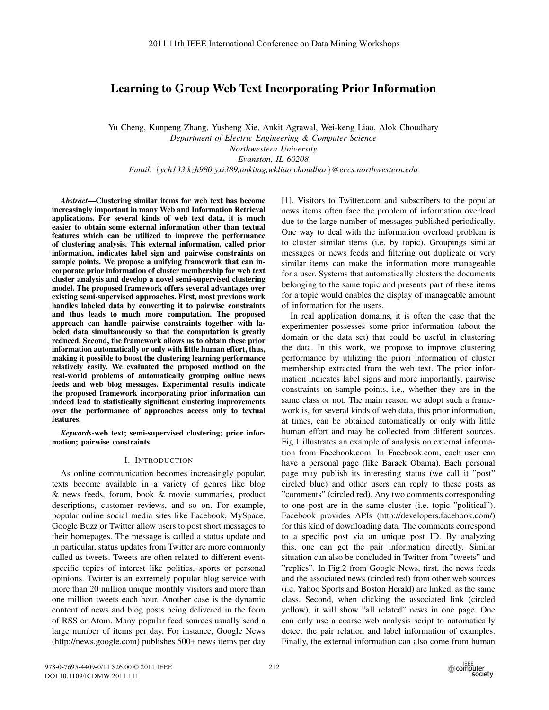# Learning to Group Web Text Incorporating Prior Information

Yu Cheng, Kunpeng Zhang, Yusheng Xie, Ankit Agrawal, Wei-keng Liao, Alok Choudhary *Department of Electric Engineering & Computer Science Northwestern University Evanston, IL 60208 Email:* {*ych133,kzh980,yxi389,ankitag,wkliao,choudhar*}*@eecs.northwestern.edu*

*Abstract*—Clustering similar items for web text has become increasingly important in many Web and Information Retrieval applications. For several kinds of web text data, it is much easier to obtain some external information other than textual features which can be utilized to improve the performance of clustering analysis. This external information, called prior information, indicates label sign and pairwise constraints on sample points. We propose a unifying framework that can incorporate prior information of cluster membership for web text cluster analysis and develop a novel semi-supervised clustering model. The proposed framework offers several advantages over existing semi-supervised approaches. First, most previous work handles labeled data by converting it to pairwise constraints and thus leads to much more computation. The proposed approach can handle pairwise constraints together with labeled data simultaneously so that the computation is greatly reduced. Second, the framework allows us to obtain these prior information automatically or only with little human effort, thus, making it possible to boost the clustering learning performance relatively easily. We evaluated the proposed method on the real-world problems of automatically grouping online news feeds and web blog messages. Experimental results indicate the proposed framework incorporating prior information can indeed lead to statistically significant clustering improvements over the performance of approaches access only to textual features.

*Keywords*-web text; semi-supervised clustering; prior information; pairwise constraints

#### I. INTRODUCTION

As online communication becomes increasingly popular, texts become available in a variety of genres like blog & news feeds, forum, book & movie summaries, product descriptions, customer reviews, and so on. For example, popular online social media sites like Facebook, MySpace, Google Buzz or Twitter allow users to post short messages to their homepages. The message is called a status update and in particular, status updates from Twitter are more commonly called as tweets. Tweets are often related to different eventspecific topics of interest like politics, sports or personal opinions. Twitter is an extremely popular blog service with more than 20 million unique monthly visitors and more than one million tweets each hour. Another case is the dynamic content of news and blog posts being delivered in the form of RSS or Atom. Many popular feed sources usually send a large number of items per day. For instance, Google News (http://news.google.com) publishes 500+ news items per day [1]. Visitors to Twitter.com and subscribers to the popular news items often face the problem of information overload due to the large number of messages published periodically. One way to deal with the information overload problem is to cluster similar items (i.e. by topic). Groupings similar messages or news feeds and filtering out duplicate or very similar items can make the information more manageable for a user. Systems that automatically clusters the documents belonging to the same topic and presents part of these items for a topic would enables the display of manageable amount of information for the users.

In real application domains, it is often the case that the experimenter possesses some prior information (about the domain or the data set) that could be useful in clustering the data. In this work, we propose to improve clustering performance by utilizing the priori information of cluster membership extracted from the web text. The prior information indicates label signs and more importantly, pairwise constraints on sample points, i.e., whether they are in the same class or not. The main reason we adopt such a framework is, for several kinds of web data, this prior information, at times, can be obtained automatically or only with little human effort and may be collected from different sources. Fig.1 illustrates an example of analysis on external information from Facebook.com. In Facebook.com, each user can have a personal page (like Barack Obama). Each personal page may publish its interesting status (we call it "post" circled blue) and other users can reply to these posts as "comments" (circled red). Any two comments corresponding to one post are in the same cluster (i.e. topic "political"). Facebook provides APIs (http://developers.facebook.com/) for this kind of downloading data. The comments correspond to a specific post via an unique post ID. By analyzing this, one can get the pair information directly. Similar situation can also be concluded in Twitter from "tweets" and "replies". In Fig.2 from Google News, first, the news feeds and the associated news (circled red) from other web sources (i.e. Yahoo Sports and Boston Herald) are linked, as the same class. Second, when clicking the associated link (circled yellow), it will show "all related" news in one page. One can only use a coarse web analysis script to automatically detect the pair relation and label information of examples. Finally, the external information can also come from human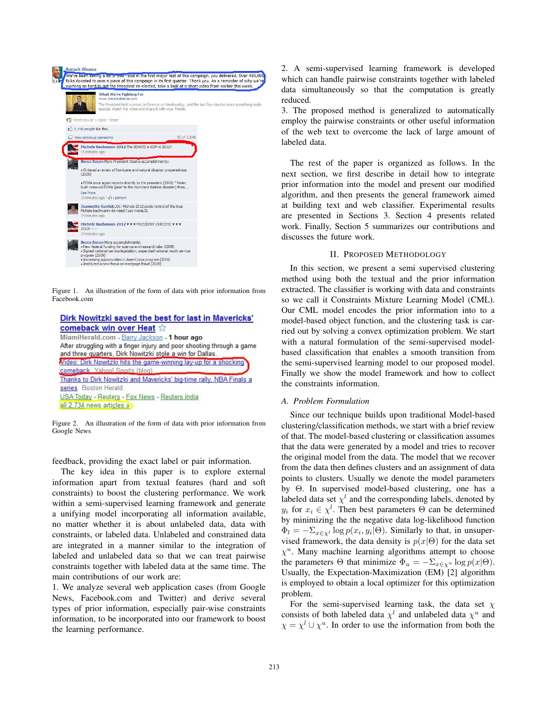

Figure 1. An illustration of the form of data with prior information from Facebook.com

| Dirk Nowitzki saved the best for last in Mavericks'                                                                                                                                 |  |
|-------------------------------------------------------------------------------------------------------------------------------------------------------------------------------------|--|
| comeback win over Heat the                                                                                                                                                          |  |
| MiamiHerald.com - Barry Jackson - 1 hour ago<br>After struggling with a finger injury and poor shooting through a game<br>and three quarters. Dirk Nowitzki stole a win for Dallas. |  |
| Video: Dirk Nowitzki hits the game-winning lay-up for a shocking<br>comeback Yahoo! Sports (blog)                                                                                   |  |
| Thanks to Dirk Nowitzki and Mavericks' big-time rally, NBA Finals a<br>series Boston Herald<br>USA Today - Reuters - Fox News - Reuters India<br>all 2.734 news articles »          |  |

Figure 2. An illustration of the form of data with prior information from Google News

feedback, providing the exact label or pair information.

The key idea in this paper is to explore external information apart from textual features (hard and soft constraints) to boost the clustering performance. We work within a semi-supervised learning framework and generate a unifying model incorporating all information available, no matter whether it is about unlabeled data, data with constraints, or labeled data. Unlabeled and constrained data are integrated in a manner similar to the integration of labeled and unlabeled data so that we can treat pairwise constraints together with labeled data at the same time. The main contributions of our work are:

1. We analyze several web application cases (from Google News, Facebook.com and Twitter) and derive several types of prior information, especially pair-wise constraints information, to be incorporated into our framework to boost the learning performance.

2. A semi-supervised learning framework is developed which can handle pairwise constraints together with labeled data simultaneously so that the computation is greatly reduced.

3. The proposed method is generalized to automatically employ the pairwise constraints or other useful information of the web text to overcome the lack of large amount of labeled data.

The rest of the paper is organized as follows. In the next section, we first describe in detail how to integrate prior information into the model and present our modified algorithm, and then presents the general framework aimed at building text and web classifier. Experimental results are presented in Sections 3. Section 4 presents related work. Finally, Section 5 summarizes our contributions and discusses the future work.

## II. PROPOSED METHODOLOGY

In this section, we present a semi supervised clustering method using both the textual and the prior information extracted. The classifier is working with data and constraints so we call it Constraints Mixture Learning Model (CML). Our CML model encodes the prior information into to a model-based object function, and the clustering task is carried out by solving a convex optimization problem. We start with a natural formulation of the semi-supervised modelbased classification that enables a smooth transition from the semi-supervised learning model to our proposed model. Finally we show the model framework and how to collect the constraints information.

### *A. Problem Formulation*

Since our technique builds upon traditional Model-based clustering/classification methods, we start with a brief review of that. The model-based clustering or classification assumes that the data were generated by a model and tries to recover the original model from the data. The model that we recover from the data then defines clusters and an assignment of data points to clusters. Usually we denote the model parameters by Θ. In supervised model-based clustering, one has a labeled data set  $\chi^l$  and the corresponding labels, denoted by  $y_i$  for  $x_i \in \chi^l$ . Then best parameters  $\Theta$  can be determined<br>by minimizing the the negative data log-likelihood function by minimizing the the negative data log-likelihood function  $\Phi_l = -\sum_{x \in \chi^l} \log p(x_i, y_i | \Theta)$ . Similarly to that, in unsupervised framework, the data density is  $p(x|\Theta)$  for the data set  $\chi$ <sup>u</sup>. Many machine learning algorithms attempt to choose the parameters  $\Theta$  that minimize  $\Phi_u = -\sum_{x \in \chi^u} \log p(x|\Theta)$ . Usually, the Expectation-Maximization (EM) [2] algorithm is employed to obtain a local optimizer for this optimization problem.

For the semi-supervised learning task, the data set  $\chi$ consists of both labeled data  $\chi^l$  and unlabeled data  $\chi^u$  and  $\chi = \chi^l \cup \chi^u$ . In order to use the information from both the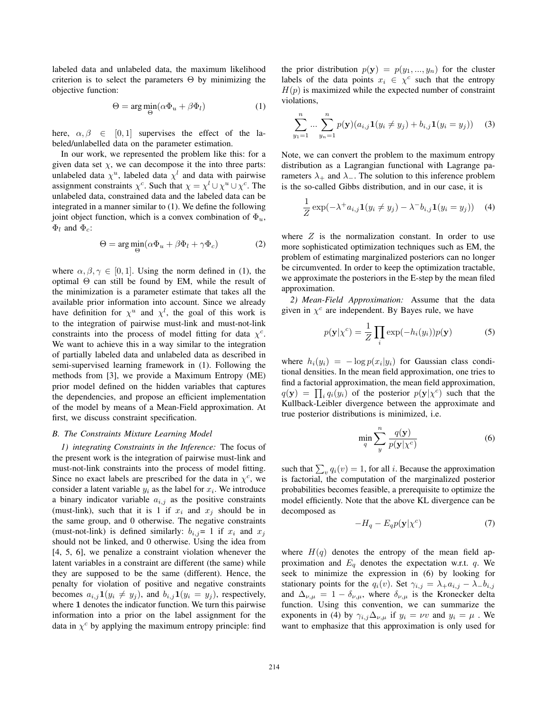labeled data and unlabeled data, the maximum likelihood criterion is to select the parameters  $\Theta$  by minimizing the objective function:

$$
\Theta = \arg\min_{\Theta} (\alpha \Phi_u + \beta \Phi_l) \tag{1}
$$

here,  $\alpha, \beta \in [0, 1]$  supervises the effect of the labeled/unlabelled data on the parameter estimation.

In our work, we represented the problem like this: for a given data set  $\chi$ , we can decompose it the into three parts: unlabeled data  $\chi^u$ , labeled data  $\chi^l$  and data with pairwise assignment constraints  $\chi^c$ . Such that  $\chi = \chi^l \cup \chi^u \cup \chi^c$ . The unlabeled data, constrained data and the labeled data can be integrated in a manner similar to (1). We define the following joint object function, which is a convex combination of  $\Phi_u$ ,  $\Phi_l$  and  $\Phi_c$ :

$$
\Theta = \arg\min_{\Theta} (\alpha \Phi_u + \beta \Phi_l + \gamma \Phi_c) \tag{2}
$$

where  $\alpha, \beta, \gamma \in [0, 1]$ . Using the norm defined in (1), the optimal  $\Theta$  can still be found by EM, while the result of the minimization is a parameter estimate that takes all the available prior information into account. Since we already have definition for  $\chi^u$  and  $\chi^l$ , the goal of this work is to the integration of pairwise must-link and must-not-link constraints into the process of model fitting for data  $\chi^c$ . We want to achieve this in a way similar to the integration of partially labeled data and unlabeled data as described in semi-supervised learning framework in (1). Following the methods from [3], we provide a Maximum Entropy (ME) prior model defined on the hidden variables that captures the dependencies, and propose an efficient implementation of the model by means of a Mean-Field approximation. At first, we discuss constraint specification.

#### *B. The Constraints Mixture Learning Model*

*1) integrating Constraints in the Inference:* The focus of the present work is the integration of pairwise must-link and must-not-link constraints into the process of model fitting. Since no exact labels are prescribed for the data in  $\chi^c$ , we consider a latent variable  $y_i$  as the label for  $x_i$ . We introduce a binary indicator variable  $a_{i,j}$  as the positive constraints (must-link), such that it is 1 if  $x_i$  and  $x_j$  should be in the same group, and 0 otherwise. The negative constraints (must-not-link) is defined similarly:  $b_{i,j}=1$  if  $x_i$  and  $x_j$ should not be linked, and 0 otherwise. Using the idea from [4, 5, 6], we penalize a constraint violation whenever the latent variables in a constraint are different (the same) while they are supposed to be the same (different). Hence, the penalty for violation of positive and negative constraints becomes  $a_{i,j}$ **1** $(y_i \neq y_j)$ , and  $b_{i,j}$ **1** $(y_i = y_j)$ , respectively, where **1** denotes the indicator function. We turn this pairwise information into a prior on the label assignment for the data in  $\chi^c$  by applying the maximum entropy principle: find the prior distribution  $p(\mathbf{y}) = p(y_1, ..., y_n)$  for the cluster labels of the data points  $x_i \in \chi^c$  such that the entropy  $H(p)$  is maximized while the expected number of constraint violations,

$$
\sum_{y_1=1}^n \dots \sum_{y_n=1}^n p(\mathbf{y})(a_{i,j}\mathbf{1}(y_i \neq y_j) + b_{i,j}\mathbf{1}(y_i = y_j)) \quad (3)
$$

Note, we can convert the problem to the maximum entropy distribution as a Lagrangian functional with Lagrange parameters  $\lambda_+$  and  $\lambda_-$ . The solution to this inference problem is the so-called Gibbs distribution, and in our case, it is

$$
\frac{1}{Z}\exp(-\lambda^+a_{i,j}\mathbf{1}(y_i \neq y_j) - \lambda^-b_{i,j}\mathbf{1}(y_i = y_j))
$$
 (4)

where  $Z$  is the normalization constant. In order to use more sophisticated optimization techniques such as EM, the problem of estimating marginalized posteriors can no longer be circumvented. In order to keep the optimization tractable, we approximate the posteriors in the E-step by the mean filed approximation.

*2) Mean-Field Approximation:* Assume that the data given in  $\chi^c$  are independent. By Bayes rule, we have

$$
p(\mathbf{y}|\chi^c) = \frac{1}{Z} \prod_i \exp(-h_i(y_i))p(\mathbf{y})
$$
 (5)

where  $h_i(y_i) = -\log p(x_i|y_i)$  for Gaussian class conditional densities. In the mean field approximation, one tries to find a factorial approximation, the mean field approximation,  $q(\mathbf{y}) = \prod_i q_i(y_i)$  of the posterior  $p(\mathbf{y}|\chi^c)$  such that the Kullback-I eibler divergence between the approximate and Kullback-Leibler divergence between the approximate and true posterior distributions is minimized, i.e.

$$
\min_{q} \sum_{y}^{n} \frac{q(\mathbf{y})}{p(\mathbf{y}|\chi^{c})}
$$
\n(6)

such that  $\sum_{v} q_i(v) = 1$ , for all *i*. Because the approximation<br>is factorial, the computation of the marginalized posterior is factorial, the computation of the marginalized posterior probabilities becomes feasible, a prerequisite to optimize the model efficiently. Note that the above KL divergence can be decomposed as

$$
-H_q - E_q p(\mathbf{y}|\chi^c)
$$
 (7)

where  $H(q)$  denotes the entropy of the mean field approximation and  $E_q$  denotes the expectation w.r.t.  $q$ . We seek to minimize the expression in (6) by looking for stationary points for the  $q_i(v)$ . Set  $\gamma_{i,j} = \lambda_+ a_{i,j} - \lambda_- b_{i,j}$ and  $\Delta_{\nu,\mu} = 1 - \delta_{\nu,\mu}$ , where  $\delta_{\nu,\mu}$  is the Kronecker delta function. Using this convention, we can summarize the exponents in (4) by  $\gamma_{i,j} \Delta_{\nu,\mu}$  if  $y_i = \nu v$  and  $y_i = \mu$ . We want to emphasize that this approximation is only used for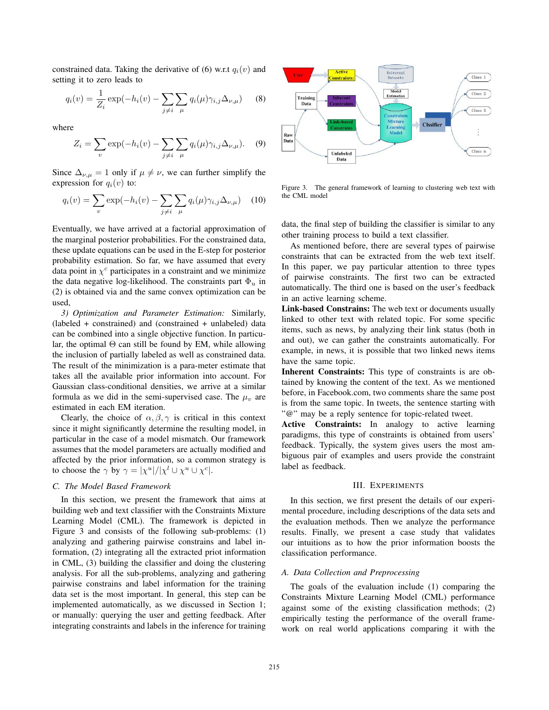constrained data. Taking the derivative of  $(6)$  w.r.t  $q_i(v)$  and setting it to zero leads to

$$
q_i(v) = \frac{1}{Z_i} \exp(-h_i(v) - \sum_{j \neq i} \sum_{\mu} q_i(\mu) \gamma_{i,j} \Delta_{\nu,\mu})
$$
 (8)

where

$$
Z_i = \sum_{v} \exp(-h_i(v) - \sum_{j \neq i} \sum_{\mu} q_i(\mu) \gamma_{i,j} \Delta_{\nu,\mu}).
$$
 (9)

Since  $\Delta_{\nu,\mu} = 1$  only if  $\mu \neq \nu$ , we can further simplify the expression for  $q_i(v)$  to:

$$
q_i(v) = \sum_{v} \exp(-h_i(v) - \sum_{j \neq i} \sum_{\mu} q_i(\mu) \gamma_{i,j} \Delta_{\nu,\mu}) \quad (10)
$$

Eventually, we have arrived at a factorial approximation of the marginal posterior probabilities. For the constrained data, these update equations can be used in the E-step for posterior probability estimation. So far, we have assumed that every data point in  $\chi^c$  participates in a constraint and we minimize the data negative log-likelihood. The constraints part <sup>Φ</sup>*<sup>u</sup>* in (2) is obtained via and the same convex optimization can be used,

*3) Optimization and Parameter Estimation:* Similarly, (labeled + constrained) and (constrained + unlabeled) data can be combined into a single objective function. In particular, the optimal  $\Theta$  can still be found by EM, while allowing the inclusion of partially labeled as well as constrained data. The result of the minimization is a para-meter estimate that takes all the available prior information into account. For Gaussian class-conditional densities, we arrive at a similar formula as we did in the semi-supervised case. The  $\mu$ <sub>*v*</sub> are estimated in each EM iteration.

Clearly, the choice of  $\alpha, \beta, \gamma$  is critical in this context since it might significantly determine the resulting model, in particular in the case of a model mismatch. Our framework assumes that the model parameters are actually modified and affected by the prior information, so a common strategy is to choose the  $\gamma$  by  $\gamma = |\chi^u|/|\chi^l \cup \chi^u \cup \chi^c|$ .

## *C. The Model Based Framework*

In this section, we present the framework that aims at building web and text classifier with the Constraints Mixture Learning Model (CML). The framework is depicted in Figure 3 and consists of the following sub-problems: (1) analyzing and gathering pairwise constrains and label information, (2) integrating all the extracted priot information in CML, (3) building the classifier and doing the clustering analysis. For all the sub-problems, analyzing and gathering pairwise constrains and label information for the training data set is the most important. In general, this step can be implemented automatically, as we discussed in Section 1; or manually: querying the user and getting feedback. After integrating constraints and labels in the inference for training



Figure 3. The general framework of learning to clustering web text with the CML model

data, the final step of building the classifier is similar to any other training process to build a text classifier.

As mentioned before, there are several types of pairwise constraints that can be extracted from the web text itself. In this paper, we pay particular attention to three types of pairwise constraints. The first two can be extracted automatically. The third one is based on the user's feedback in an active learning scheme.

Link-based Constrains: The web text or documents usually linked to other text with related topic. For some specific items, such as news, by analyzing their link status (both in and out), we can gather the constraints automatically. For example, in news, it is possible that two linked news items have the same topic.

Inherent Constraints: This type of constraints is are obtained by knowing the content of the text. As we mentioned before, in Facebook.com, two comments share the same post is from the same topic. In tweets, the sentence starting with "@" may be a reply sentence for topic-related tweet.

Active Constraints: In analogy to active learning paradigms, this type of constraints is obtained from users' feedback. Typically, the system gives users the most ambiguous pair of examples and users provide the constraint label as feedback.

### III. EXPERIMENTS

In this section, we first present the details of our experimental procedure, including descriptions of the data sets and the evaluation methods. Then we analyze the performance results. Finally, we present a case study that validates our intuitions as to how the prior information boosts the classification performance.

## *A. Data Collection and Preprocessing*

The goals of the evaluation include (1) comparing the Constraints Mixture Learning Model (CML) performance against some of the existing classification methods; (2) empirically testing the performance of the overall framework on real world applications comparing it with the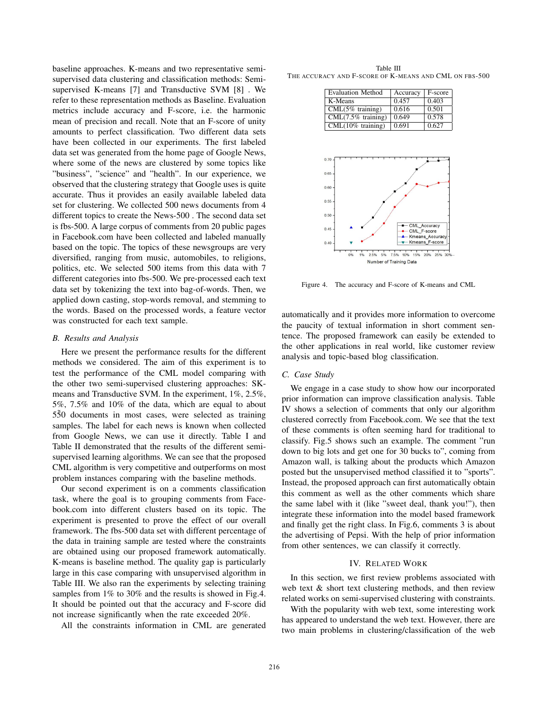baseline approaches. K-means and two representative semisupervised data clustering and classification methods: Semisupervised K-means [7] and Transductive SVM [8] . We refer to these representation methods as Baseline. Evaluation metrics include accuracy and F-score, i.e. the harmonic mean of precision and recall. Note that an F-score of unity amounts to perfect classification. Two different data sets have been collected in our experiments. The first labeled data set was generated from the home page of Google News, where some of the news are clustered by some topics like "business", "science" and "health". In our experience, we observed that the clustering strategy that Google uses is quite accurate. Thus it provides an easily available labeled data set for clustering. We collected 500 news documents from 4 different topics to create the News-500 . The second data set is fbs-500. A large corpus of comments from 20 public pages in Facebook.com have been collected and labeled manually based on the topic. The topics of these newsgroups are very diversified, ranging from music, automobiles, to religions, politics, etc. We selected 500 items from this data with 7 different categories into fbs-500. We pre-processed each text data set by tokenizing the text into bag-of-words. Then, we applied down casting, stop-words removal, and stemming to the words. Based on the processed words, a feature vector was constructed for each text sample.

#### *B. Results and Analysis*

Here we present the performance results for the different methods we considered. The aim of this experiment is to test the performance of the CML model comparing with the other two semi-supervised clustering approaches: SKmeans and Transductive SVM. In the experiment, 1%, 2.5%, 5%, 7.5% and 10% of the data, which are equal to about 550 documents in most cases, were selected as training samples. The label for each news is known when collected from Google News, we can use it directly. Table I and Table II demonstrated that the results of the different semisupervised learning algorithms. We can see that the proposed CML algorithm is very competitive and outperforms on most problem instances comparing with the baseline methods.

Our second experiment is on a comments classification task, where the goal is to grouping comments from Facebook.com into different clusters based on its topic. The experiment is presented to prove the effect of our overall framework. The fbs-500 data set with different percentage of the data in training sample are tested where the constraints are obtained using our proposed framework automatically. K-means is baseline method. The quality gap is particularly large in this case comparing with unsupervised algorithm in Table III. We also ran the experiments by selecting training samples from 1% to 30% and the results is showed in Fig.4. It should be pointed out that the accuracy and F-score did not increase significantly when the rate exceeded 20%.

All the constraints information in CML are generated

Table III THE ACCURACY AND F-SCORE OF K-MEANS AND CML ON FBS-500

| <b>Evaluation Method</b> | Accuracy | F-score |
|--------------------------|----------|---------|
| K-Means                  | 0.457    | 0.403   |
| $CML(5\%$ training)      | 0.616    | 0.501   |
| $CML(7.5\%$ training)    | 0.649    | 0.578   |
| $CML(10\%$ training)     | 0.691    | 0.627   |



Figure 4. The accuracy and F-score of K-means and CML

automatically and it provides more information to overcome the paucity of textual information in short comment sentence. The proposed framework can easily be extended to the other applications in real world, like customer review analysis and topic-based blog classification.

### *C. Case Study*

We engage in a case study to show how our incorporated prior information can improve classification analysis. Table IV shows a selection of comments that only our algorithm clustered correctly from Facebook.com. We see that the text of these comments is often seeming hard for traditional to classify. Fig.5 shows such an example. The comment "run down to big lots and get one for 30 bucks to", coming from Amazon wall, is talking about the products which Amazon posted but the unsupervised method classified it to "sports". Instead, the proposed approach can first automatically obtain this comment as well as the other comments which share the same label with it (like "sweet deal, thank you!"), then integrate these information into the model based framework and finally get the right class. In Fig.6, comments 3 is about the advertising of Pepsi. With the help of prior information from other sentences, we can classify it correctly.

### IV. RELATED WORK

In this section, we first review problems associated with web text & short text clustering methods, and then review related works on semi-supervised clustering with constraints.

With the popularity with web text, some interesting work has appeared to understand the web text. However, there are two main problems in clustering/classification of the web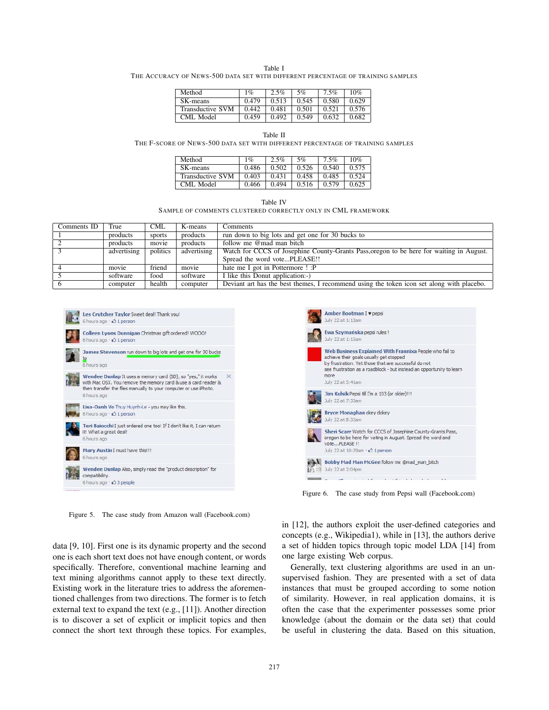#### Table I

THE ACCURACY OF NEWS-500 DATA SET WITH DIFFERENT PERCENTAGE OF TRAINING SAMPLES

| Method           | $1\%$ | 2.5%  | 5%    | 7.5%  | 10%   |
|------------------|-------|-------|-------|-------|-------|
| SK-means         | 0.479 | 0.513 | 0.545 | 0.580 | 0.629 |
| Transductive SVM | 0.442 | 0.481 | 0.501 | 0.521 | 0.576 |
| CML Model        | 0.459 | 0.492 | 0.549 | 0.632 | 0.682 |

#### Table II

THE F-SCORE OF NEWS-500 DATA SET WITH DIFFERENT PERCENTAGE OF TRAINING SAMPLES

| Method                  | $\sigma$ | $2.5\%$ | 5%    | 7.5%  | 10%   |
|-------------------------|----------|---------|-------|-------|-------|
| SK-means                | 0.486    | 0.502   | 0.526 | 0.540 | 0.575 |
| <b>Transductive SVM</b> | 0.403    | 0.431   | 0.458 | 0.485 | 0.524 |
| CML Model               | 0.466    | 0.494   | 0.516 | 0.579 | 0.625 |

Table IV

SAMPLE OF COMMENTS CLUSTERED CORRECTLY ONLY IN CML FRAMEWORK

| Comments ID | True        | <b>CML</b> | K-means     | Comments                                                                                  |
|-------------|-------------|------------|-------------|-------------------------------------------------------------------------------------------|
|             | products    | sports     | products    | run down to big lots and get one for 30 bucks to                                          |
|             | products    | movie      | products    | follow me @mad man bitch                                                                  |
|             | advertising | politics   | advertising | Watch for CCCS of Josephine County-Grants Pass, organ to be here for waiting in August.   |
|             |             |            |             | Spread the word votePLEASE!!                                                              |
|             | movie       | friend     | movie       | hate me I got in Pottermore ! : P                                                         |
|             | software    | food       | software    | I like this Donut application:-)                                                          |
|             | computer    | health     | computer    | Deviant art has the best themes, I recommend using the token icon set along with placebo. |



Figure 5. The case study from Amazon wall (Facebook.com)

data [9, 10]. First one is its dynamic property and the second one is each short text does not have enough content, or words specifically. Therefore, conventional machine learning and text mining algorithms cannot apply to these text directly. Existing work in the literature tries to address the aforementioned challenges from two directions. The former is to fetch external text to expand the text (e.g., [11]). Another direction is to discover a set of explicit or implicit topics and then connect the short text through these topics. For examples,



Figure 6. The case study from Pepsi wall (Facebook.com)

in [12], the authors exploit the user-defined categories and concepts (e.g., Wikipedia1), while in [13], the authors derive a set of hidden topics through topic model LDA [14] from one large existing Web corpus.

Generally, text clustering algorithms are used in an unsupervised fashion. They are presented with a set of data instances that must be grouped according to some notion of similarity. However, in real application domains, it is often the case that the experimenter possesses some prior knowledge (about the domain or the data set) that could be useful in clustering the data. Based on this situation,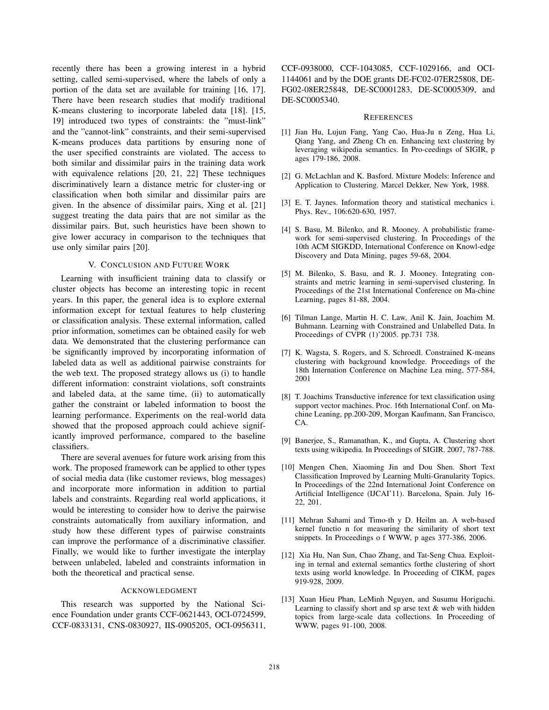recently there has been a growing interest in a hybrid setting, called semi-supervised, where the labels of only a portion of the data set are available for training [16, 17]. There have been research studies that modify traditional K-means clustering to incorporate labeled data [18]. [15, 19] introduced two types of constraints: the "must-link" and the "cannot-link" constraints, and their semi-supervised K-means produces data partitions by ensuring none of the user specified constraints are violated. The access to both similar and dissimilar pairs in the training data work with equivalence relations [20, 21, 22] These techniques discriminatively learn a distance metric for cluster-ing or classification when both similar and dissimilar pairs are given. In the absence of dissimilar pairs, Xing et al. [21] suggest treating the data pairs that are not similar as the dissimilar pairs. But, such heuristics have been shown to give lower accuracy in comparison to the techniques that use only similar pairs [20].

### V. CONCLUSION AND FUTURE WORK

Learning with insufficient training data to classify or cluster objects has become an interesting topic in recent years. In this paper, the general idea is to explore external information except for textual features to help clustering or classification analysis. These external information, called prior information, sometimes can be obtained easily for web data. We demonstrated that the clustering performance can be significantly improved by incorporating information of labeled data as well as additional pairwise constraints for the web text. The proposed strategy allows us (i) to handle different information: constraint violations, soft constraints and labeled data, at the same time, (ii) to automatically gather the constraint or labeled information to boost the learning performance. Experiments on the real-world data showed that the proposed approach could achieve significantly improved performance, compared to the baseline classifiers.

There are several avenues for future work arising from this work. The proposed framework can be applied to other types of social media data (like customer reviews, blog messages) and incorporate more information in addition to partial labels and constraints. Regarding real world applications, it would be interesting to consider how to derive the pairwise constraints automatically from auxiliary information, and study how these different types of pairwise constraints can improve the performance of a discriminative classifier. Finally, we would like to further investigate the interplay between unlabeled, labeled and constraints information in both the theoretical and practical sense.

#### ACKNOWLEDGMENT

This research was supported by the National Science Foundation under grants CCF-0621443, OCI-0724599, CCF-0833131, CNS-0830927, IIS-0905205, OCI-0956311, CCF-0938000, CCF-1043085, CCF-1029166, and OCI-1144061 and by the DOE grants DE-FC02-07ER25808, DE-FG02-08ER25848, DE-SC0001283, DE-SC0005309, and DE-SC0005340.

#### **REFERENCES**

- [1] Jian Hu, Lujun Fang, Yang Cao, Hua-Ju n Zeng, Hua Li, Qiang Yang, and Zheng Ch en. Enhancing text clustering by leveraging wikipedia semantics. In Pro-ceedings of SIGIR, p ages 179-186, 2008.
- [2] G. McLachlan and K. Basford. Mixture Models: Inference and Application to Clustering. Marcel Dekker, New York, 1988.
- [3] E. T. Jaynes. Information theory and statistical mechanics i. Phys. Rev., 106:620-630, 1957.
- [4] S. Basu, M. Bilenko, and R. Mooney. A probabilistic framework for semi-supervised clustering. In Proceedings of the 10th ACM SIGKDD, International Conference on Knowl-edge Discovery and Data Mining, pages 59-68, 2004.
- [5] M. Bilenko, S. Basu, and R. J. Mooney. Integrating constraints and metric learning in semi-supervised clustering. In Proceedings of the 21st International Conference on Ma-chine Learning, pages 81-88, 2004.
- [6] Tilman Lange, Martin H. C. Law, Anil K. Jain, Joachim M. Buhmann. Learning with Constrained and Unlabelled Data. In Proceedings of CVPR (1)'2005. pp.731 738.
- [7] K. Wagsta, S. Rogers, and S. Schroedl. Constrained K-means clustering with background knowledge. Proceedings of the 18th Internation Conference on Machine Lea rning, 577-584, 2001
- [8] T. Joachims Transductive inference for text classification using support vector machines. Proc. 16th International Conf. on Machine Leaning, pp.200-209, Morgan Kaufmann, San Francisco, CA.
- [9] Banerjee, S., Ramanathan, K., and Gupta, A. Clustering short texts using wikipedia. In Proceedings of SIGIR. 2007, 787-788.
- [10] Mengen Chen, Xiaoming Jin and Dou Shen. Short Text Classification Improved by Learning Multi-Granularity Topics. In Proceedings of the 22nd International Joint Conference on Artificial Intelligence (IJCAI'11). Barcelona, Spain. July 16- 22, 201.
- [11] Mehran Sahami and Timo-th y D. Heilm an. A web-based kernel functio n for measuring the similarity of short text snippets. In Proceedings o f WWW, p ages 377-386, 2006.
- [12] Xia Hu, Nan Sun, Chao Zhang, and Tat-Seng Chua. Exploiting in ternal and external semantics forthe clustering of short texts using world knowledge. In Proceeding of CIKM, pages 919-928, 2009.
- [13] Xuan Hieu Phan, LeMinh Nguyen, and Susumu Horiguchi. Learning to classify short and sp arse text  $\&$  web with hidden topics from large-scale data collections. In Proceeding of WWW, pages 91-100, 2008.